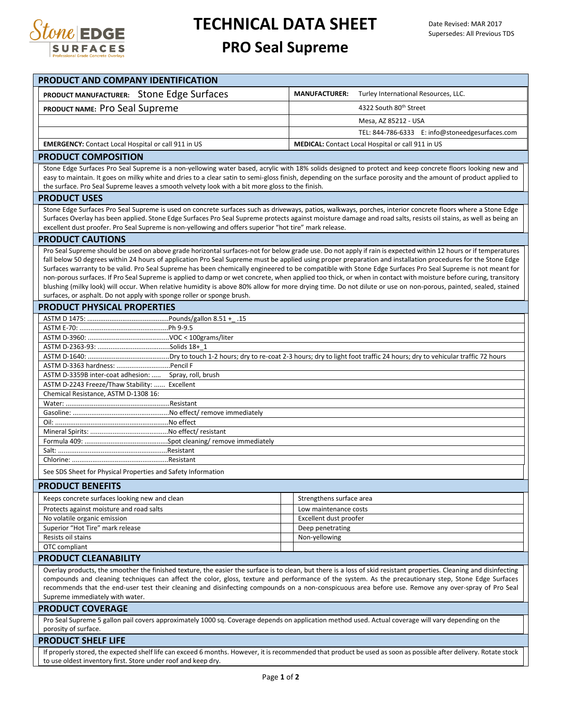

# **TECHNICAL DATA SHEET**

# **PRO Seal Supreme**

| PRODUCT AND COMPANY IDENTIFICATION                                                                                                                                                                                                                                                                                               |                                                              |
|----------------------------------------------------------------------------------------------------------------------------------------------------------------------------------------------------------------------------------------------------------------------------------------------------------------------------------|--------------------------------------------------------------|
| PRODUCT MANUFACTURER: Stone Edge Surfaces                                                                                                                                                                                                                                                                                        | Turley International Resources, LLC.<br><b>MANUFACTURER:</b> |
| PRODUCT NAME: Pro Seal Supreme                                                                                                                                                                                                                                                                                                   | 4322 South 80th Street                                       |
|                                                                                                                                                                                                                                                                                                                                  |                                                              |
|                                                                                                                                                                                                                                                                                                                                  | Mesa, AZ 85212 - USA                                         |
|                                                                                                                                                                                                                                                                                                                                  | TEL: 844-786-6333 E: info@stoneedgesurfaces.com              |
| <b>EMERGENCY:</b> Contact Local Hospital or call 911 in US                                                                                                                                                                                                                                                                       | <b>MEDICAL:</b> Contact Local Hospital or call 911 in US     |
| <b>PRODUCT COMPOSITION</b>                                                                                                                                                                                                                                                                                                       |                                                              |
| Stone Edge Surfaces Pro Seal Supreme is a non-yellowing water based, acrylic with 18% solids designed to protect and keep concrete floors looking new and<br>easy to maintain. It goes on milky white and dries to a clear satin to semi-gloss finish, depending on the surface porosity and the amount of product applied to    |                                                              |
| the surface. Pro Seal Supreme leaves a smooth velvety look with a bit more gloss to the finish.                                                                                                                                                                                                                                  |                                                              |
| <b>PRODUCT USES</b>                                                                                                                                                                                                                                                                                                              |                                                              |
| Stone Edge Surfaces Pro Seal Supreme is used on concrete surfaces such as driveways, patios, walkways, porches, interior concrete floors where a Stone Edge                                                                                                                                                                      |                                                              |
| Surfaces Overlay has been applied. Stone Edge Surfaces Pro Seal Supreme protects against moisture damage and road salts, resists oil stains, as well as being an                                                                                                                                                                 |                                                              |
| excellent dust proofer. Pro Seal Supreme is non-yellowing and offers superior "hot tire" mark release.                                                                                                                                                                                                                           |                                                              |
| <b>PRODUCT CAUTIONS</b>                                                                                                                                                                                                                                                                                                          |                                                              |
| Pro Seal Supreme should be used on above grade horizontal surfaces-not for below grade use. Do not apply if rain is expected within 12 hours or if temperatures<br>fall below 50 degrees within 24 hours of application Pro Seal Supreme must be applied using proper preparation and installation procedures for the Stone Edge |                                                              |
| Surfaces warranty to be valid. Pro Seal Supreme has been chemically engineered to be compatible with Stone Edge Surfaces Pro Seal Supreme is not meant for                                                                                                                                                                       |                                                              |
| non-porous surfaces. If Pro Seal Supreme is applied to damp or wet concrete, when applied too thick, or when in contact with moisture before curing, transitory                                                                                                                                                                  |                                                              |
| blushing (milky look) will occur. When relative humidity is above 80% allow for more drying time. Do not dilute or use on non-porous, painted, sealed, stained                                                                                                                                                                   |                                                              |
| surfaces, or asphalt. Do not apply with sponge roller or sponge brush.                                                                                                                                                                                                                                                           |                                                              |
| <b>PRODUCT PHYSICAL PROPERTIES</b>                                                                                                                                                                                                                                                                                               |                                                              |
|                                                                                                                                                                                                                                                                                                                                  |                                                              |
|                                                                                                                                                                                                                                                                                                                                  |                                                              |
|                                                                                                                                                                                                                                                                                                                                  |                                                              |
|                                                                                                                                                                                                                                                                                                                                  |                                                              |
|                                                                                                                                                                                                                                                                                                                                  |                                                              |
| ASTM D-3359B inter-coat adhesion:  Spray, roll, brush<br>ASTM D-2243 Freeze/Thaw Stability:  Excellent                                                                                                                                                                                                                           |                                                              |
| Chemical Resistance, ASTM D-1308 16:                                                                                                                                                                                                                                                                                             |                                                              |
|                                                                                                                                                                                                                                                                                                                                  |                                                              |
|                                                                                                                                                                                                                                                                                                                                  |                                                              |
|                                                                                                                                                                                                                                                                                                                                  |                                                              |
|                                                                                                                                                                                                                                                                                                                                  |                                                              |
|                                                                                                                                                                                                                                                                                                                                  |                                                              |
|                                                                                                                                                                                                                                                                                                                                  |                                                              |
| See SDS Sheet for Physical Properties and Safety Information                                                                                                                                                                                                                                                                     |                                                              |
| <b>PRODUCT BENEFITS</b>                                                                                                                                                                                                                                                                                                          |                                                              |
| Keeps concrete surfaces looking new and clean                                                                                                                                                                                                                                                                                    | Strengthens surface area                                     |
| Protects against moisture and road salts                                                                                                                                                                                                                                                                                         | Low maintenance costs                                        |
| No volatile organic emission                                                                                                                                                                                                                                                                                                     | Excellent dust proofer                                       |
| Superior "Hot Tire" mark release                                                                                                                                                                                                                                                                                                 | Deep penetrating                                             |
| Resists oil stains<br>OTC compliant                                                                                                                                                                                                                                                                                              | Non-yellowing                                                |
| <b>PRODUCT CLEANABILITY</b>                                                                                                                                                                                                                                                                                                      |                                                              |
| Overlay products, the smoother the finished texture, the easier the surface is to clean, but there is a loss of skid resistant properties. Cleaning and disinfecting                                                                                                                                                             |                                                              |
| compounds and cleaning techniques can affect the color, gloss, texture and performance of the system. As the precautionary step, Stone Edge Surfaces                                                                                                                                                                             |                                                              |
| recommends that the end-user test their cleaning and disinfecting compounds on a non-conspicuous area before use. Remove any over-spray of Pro Seal                                                                                                                                                                              |                                                              |
| Supreme immediately with water.                                                                                                                                                                                                                                                                                                  |                                                              |
| <b>PRODUCT COVERAGE</b>                                                                                                                                                                                                                                                                                                          |                                                              |
| Pro Seal Supreme 5 gallon pail covers approximately 1000 sq. Coverage depends on application method used. Actual coverage will vary depending on the<br>porosity of surface.                                                                                                                                                     |                                                              |
| <b>PRODUCT SHELF LIFE</b>                                                                                                                                                                                                                                                                                                        |                                                              |
| If properly stored, the expected shelf life can exceed 6 months. However, it is recommended that product be used as soon as possible after delivery. Rotate stock                                                                                                                                                                |                                                              |
| to use oldest inventory first. Store under roof and keep dry.                                                                                                                                                                                                                                                                    |                                                              |
| Dao 1 of 2                                                                                                                                                                                                                                                                                                                       |                                                              |